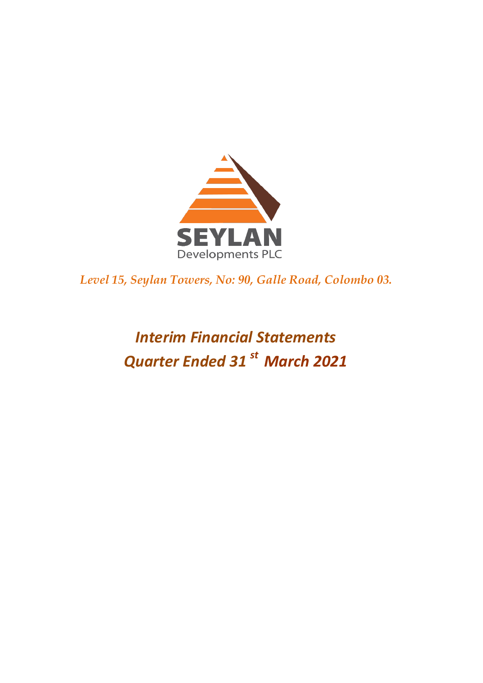

*Level 15, Seylan Towers, No: 90, Galle Road, Colombo 03.* 

# *Interim Financial Statements Quarter Ended 31 st March 2021*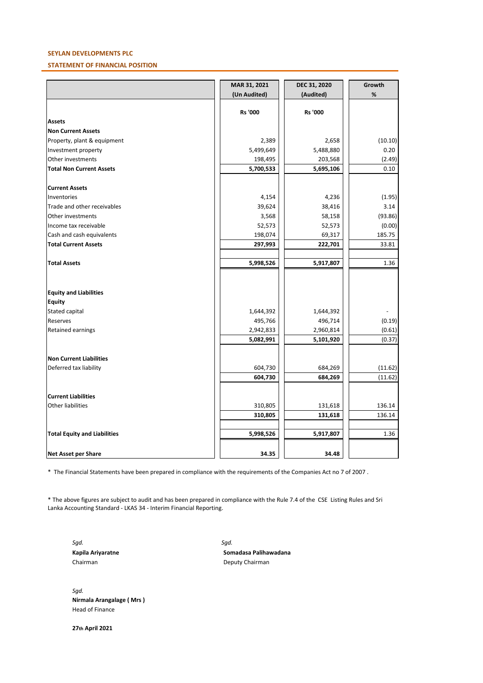# **SEYLAN DEVELOPMENTS PLC**

## **STATEMENT OF FINANCIAL POSITION**

|                                     | MAR 31, 2021 | DEC 31, 2020 | Growth  |
|-------------------------------------|--------------|--------------|---------|
|                                     | (Un Audited) | (Audited)    | $\%$    |
|                                     | Rs '000      | Rs '000      |         |
| <b>Assets</b>                       |              |              |         |
| <b>Non Current Assets</b>           |              |              |         |
| Property, plant & equipment         | 2,389        | 2,658        | (10.10) |
| Investment property                 | 5,499,649    | 5,488,880    | 0.20    |
| Other investments                   | 198,495      | 203,568      | (2.49)  |
| <b>Total Non Current Assets</b>     | 5,700,533    |              | 0.10    |
|                                     |              | 5,695,106    |         |
| <b>Current Assets</b>               |              |              |         |
| Inventories                         | 4,154        | 4,236        | (1.95)  |
| Trade and other receivables         | 39,624       | 38,416       | 3.14    |
| Other investments                   | 3,568        | 58,158       | (93.86) |
| Income tax receivable               | 52,573       | 52,573       | (0.00)  |
| Cash and cash equivalents           | 198,074      | 69,317       | 185.75  |
| <b>Total Current Assets</b>         | 297,993      | 222,701      | 33.81   |
|                                     |              |              |         |
| <b>Total Assets</b>                 | 5,998,526    | 5,917,807    | 1.36    |
|                                     |              |              |         |
| <b>Equity and Liabilities</b>       |              |              |         |
| <b>Equity</b>                       |              |              |         |
| Stated capital                      | 1,644,392    | 1,644,392    |         |
| Reserves                            | 495,766      | 496,714      | (0.19)  |
| Retained earnings                   | 2,942,833    | 2,960,814    | (0.61)  |
|                                     | 5,082,991    | 5,101,920    | (0.37)  |
| Non Current Liabilities             |              |              |         |
| Deferred tax liability              | 604,730      | 684,269      | (11.62) |
|                                     | 604,730      | 684,269      | (11.62) |
|                                     |              |              |         |
| <b>Current Liabilities</b>          |              |              |         |
| Other liabilities                   | 310,805      | 131,618      | 136.14  |
|                                     | 310,805      | 131,618      | 136.14  |
|                                     |              |              |         |
| <b>Total Equity and Liabilities</b> | 5,998,526    | 5,917,807    | 1.36    |
| Net Asset per Share                 | 34.35        | 34.48        |         |

\* The Financial Statements have been prepared in compliance with the requirements of the Companies Act no 7 of 2007 .

\* The above figures are subject to audit and has been prepared in compliance with the Rule 7.4 of the CSE Listing Rules and Sri Lanka Accounting Standard - LKAS 34 - Interim Financial Reporting.

*Sgd. Sgd.*

**Kapila Ariyaratne Somadasa Palihawadana** Chairman Deputy Chairman

*Sgd.* **Nirmala Arangalage ( Mrs )** Head of Finance

**27th April 2021**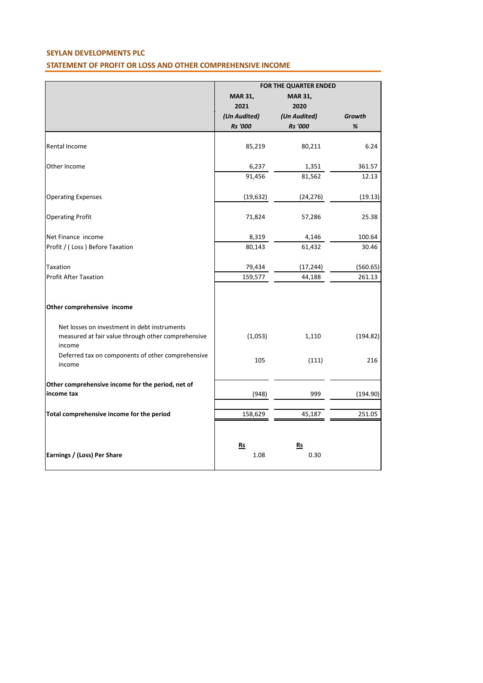# **SEYLAN DEVELOPMENTS PLC STATEMENT OF PROFIT OR LOSS AND OTHER COMPREHENSIVE INCOME**

|                                                              | FOR THE QUARTER ENDED |                |          |
|--------------------------------------------------------------|-----------------------|----------------|----------|
|                                                              | <b>MAR 31,</b>        | <b>MAR 31,</b> |          |
|                                                              | 2021                  | 2020           |          |
|                                                              | (Un Audited)          | (Un Audited)   | Growth   |
|                                                              | <b>Rs</b> '000        | <b>Rs</b> '000 | $\%$     |
|                                                              |                       |                |          |
| Rental Income                                                | 85,219                | 80,211         | 6.24     |
| Other Income                                                 | 6,237                 | 1,351          | 361.57   |
|                                                              | 91,456                | 81,562         | 12.13    |
| <b>Operating Expenses</b>                                    | (19, 632)             | (24, 276)      | (19.13)  |
| <b>Operating Profit</b>                                      | 71,824                | 57,286         | 25.38    |
| Net Finance income                                           | 8,319                 | 4,146          | 100.64   |
| Profit / (Loss) Before Taxation                              | 80,143                | 61,432         | 30.46    |
| Taxation                                                     | 79,434                | (17, 244)      | (560.65) |
| <b>Profit After Taxation</b>                                 | 159,577               | 44,188         | 261.13   |
| Other comprehensive income                                   |                       |                |          |
| Net losses on investment in debt instruments                 |                       |                |          |
| measured at fair value through other comprehensive<br>income | (1,053)               | 1,110          | (194.82) |
| Deferred tax on components of other comprehensive<br>income  | 105                   | (111)          | 216      |
| Other comprehensive income for the period, net of            |                       |                |          |
| income tax                                                   | (948)                 | 999            | (194.90) |
| Total comprehensive income for the period                    | 158,629               | 45,187         | 251.05   |
|                                                              |                       |                |          |
|                                                              | $Rs$                  | $Rs$           |          |
| Earnings / (Loss) Per Share                                  | 1.08                  | 0.30           |          |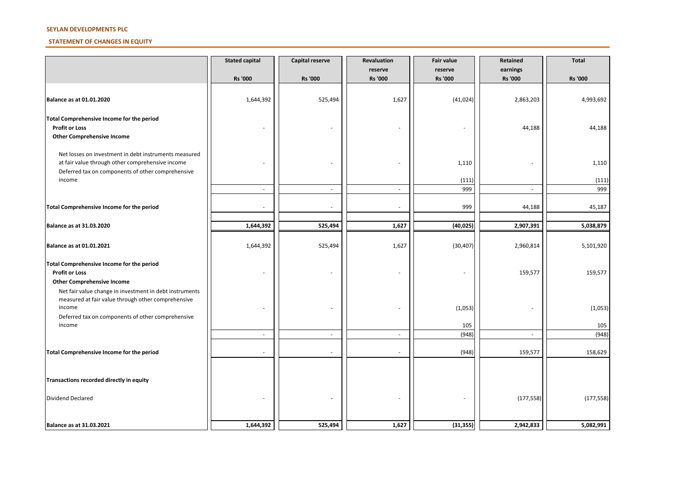#### **SEYLAN DEVELOPMENTS PLC**

#### **STATEMENT OF CHANGES IN EQUITY**

|                                                             | <b>Stated capital</b> | Capital reserve | Revaluation               | <b>Fair value</b>         | Retained                   | <b>Total</b>   |
|-------------------------------------------------------------|-----------------------|-----------------|---------------------------|---------------------------|----------------------------|----------------|
|                                                             | Rs '000               | <b>Rs '000</b>  | reserve<br><b>Rs '000</b> | reserve<br><b>Rs</b> '000 | earnings<br><b>Rs</b> '000 | <b>Rs '000</b> |
|                                                             |                       |                 |                           |                           |                            |                |
| Balance as at 01.01.2020                                    | 1,644,392             | 525,494         | 1,627                     | (41, 024)                 | 2,863,203                  | 4,993,692      |
| Total Comprehensive Income for the period                   |                       |                 |                           |                           |                            |                |
| <b>Profit or Loss</b>                                       |                       |                 |                           | $\overline{\phantom{a}}$  | 44,188                     | 44,188         |
| <b>Other Comprehensive Income</b>                           |                       |                 |                           |                           |                            |                |
| Net losses on investment in debt instruments measured       |                       |                 |                           |                           |                            |                |
| at fair value through other comprehensive income            |                       |                 |                           | 1,110                     |                            | 1,110          |
| Deferred tax on components of other comprehensive           |                       |                 |                           |                           |                            |                |
| income                                                      |                       |                 |                           | (111)                     |                            | (111)          |
|                                                             | $\sim$                | $\sim$          | $\overline{\phantom{a}}$  | 999                       | $\sim$                     | 999            |
| Total Comprehensive Income for the period                   |                       |                 |                           | 999                       | 44,188                     | 45,187         |
|                                                             |                       |                 |                           |                           |                            |                |
| Balance as at 31.03.2020                                    | 1,644,392             | 525,494         | 1,627                     | (40, 025)                 | 2,907,391                  | 5,038,879      |
|                                                             |                       |                 |                           |                           |                            |                |
| Balance as at 01.01.2021                                    | 1,644,392             | 525,494         | 1,627                     | (30, 407)                 | 2,960,814                  | 5,101,920      |
| Total Comprehensive Income for the period                   |                       |                 |                           |                           |                            |                |
| <b>Profit or Loss</b>                                       |                       |                 |                           |                           | 159,577                    | 159,577        |
| <b>Other Comprehensive Income</b>                           |                       |                 |                           |                           |                            |                |
| Net fair value change in investment in debt instruments     |                       |                 |                           |                           |                            |                |
| measured at fair value through other comprehensive          |                       |                 |                           |                           |                            |                |
| income<br>Deferred tax on components of other comprehensive |                       |                 |                           | (1,053)                   |                            | (1,053)        |
| income                                                      |                       |                 |                           | 105                       |                            | 105            |
|                                                             |                       | ÷.              | ä,                        | (948)                     | $\bar{a}$                  | (948)          |
|                                                             |                       |                 |                           |                           |                            |                |
| Total Comprehensive Income for the period                   | $\sim$                | $\sim$          | ٠                         | (948)                     | 159,577                    | 158,629        |
|                                                             |                       |                 |                           |                           |                            |                |
| Transactions recorded directly in equity                    |                       |                 |                           |                           |                            |                |
| <b>Dividend Declared</b>                                    |                       |                 |                           |                           | (177, 558)                 | (177, 558)     |
|                                                             |                       |                 |                           |                           |                            |                |
| Balance as at 31.03.2021                                    | 1,644,392             | 525,494         | 1,627                     | (31, 355)                 | 2,942,833                  | 5,082,991      |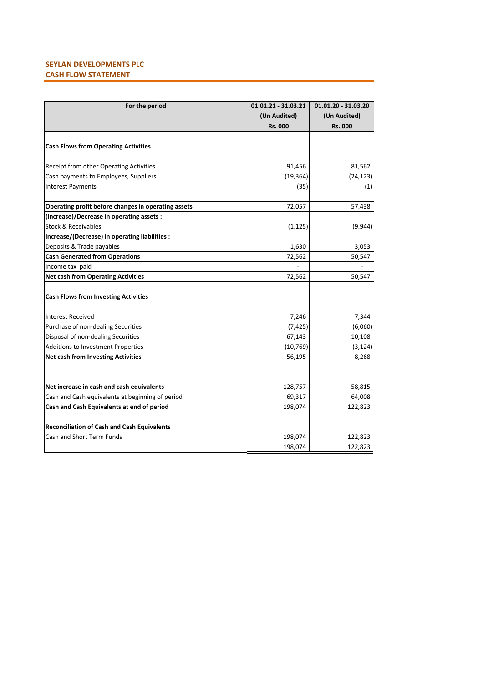# **SEYLAN DEVELOPMENTS PLC CASH FLOW STATEMENT**

| For the period                                                    | 01.01.21 - 31.03.21<br>(Un Audited)<br>Rs. 000 | 01.01.20 - 31.03.20<br>(Un Audited)<br><b>Rs. 000</b> |
|-------------------------------------------------------------------|------------------------------------------------|-------------------------------------------------------|
| <b>Cash Flows from Operating Activities</b>                       |                                                |                                                       |
| Receipt from other Operating Activities                           | 91,456                                         | 81,562                                                |
| Cash payments to Employees, Suppliers<br><b>Interest Payments</b> | (19, 364)<br>(35)                              | (24, 123)<br>(1)                                      |
| Operating profit before changes in operating assets               | 72,057                                         | 57,438                                                |
| (Increase)/Decrease in operating assets :                         |                                                |                                                       |
| <b>Stock &amp; Receivables</b>                                    | (1, 125)                                       | (9,944)                                               |
| Increase/(Decrease) in operating liabilities :                    |                                                |                                                       |
| Deposits & Trade payables                                         | 1,630                                          | 3,053                                                 |
| <b>Cash Generated from Operations</b>                             | 72,562                                         | 50,547                                                |
| Income tax paid                                                   |                                                |                                                       |
| <b>Net cash from Operating Activities</b>                         | 72,562                                         | 50,547                                                |
| <b>Cash Flows from Investing Activities</b>                       |                                                |                                                       |
| Interest Received                                                 | 7,246                                          | 7,344                                                 |
| Purchase of non-dealing Securities                                | (7, 425)                                       | (6,060)                                               |
| Disposal of non-dealing Securities                                | 67,143                                         | 10,108                                                |
| Additions to Investment Properties                                | (10, 769)                                      | (3, 124)                                              |
| <b>Net cash from Investing Activities</b>                         | 56,195                                         | 8,268                                                 |
|                                                                   |                                                |                                                       |
| Net increase in cash and cash equivalents                         | 128,757                                        | 58,815                                                |
| Cash and Cash equivalents at beginning of period                  | 69,317                                         | 64,008                                                |
| Cash and Cash Equivalents at end of period                        | 198,074                                        | 122,823                                               |
| <b>Reconciliation of Cash and Cash Equivalents</b>                |                                                |                                                       |
| Cash and Short Term Funds                                         | 198,074                                        | 122,823                                               |
|                                                                   | 198,074                                        | 122,823                                               |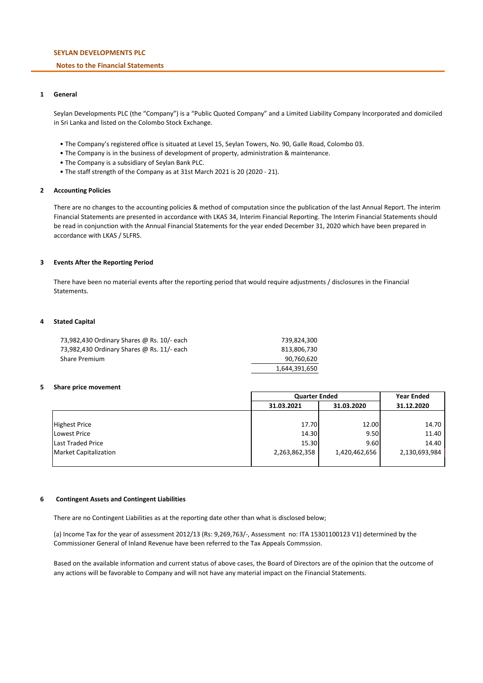## **SEYLAN DEVELOPMENTS PLC**

## **Notes to the Financial Statements**

## **1 General**

Seylan Developments PLC (the "Company") is a "Public Quoted Company" and a Limited Liability Company Incorporated and domiciled in Sri Lanka and listed on the Colombo Stock Exchange.

- The Company's registered office is situated at Level 15, Seylan Towers, No. 90, Galle Road, Colombo 03.
- The Company is in the business of development of property, administration & maintenance.
- The Company is a subsidiary of Seylan Bank PLC.
- The staff strength of the Company as at 31st March 2021 is 20 (2020 21).

## **2 Accounting Policies**

There are no changes to the accounting policies & method of computation since the publication of the last Annual Report. The interim Financial Statements are presented in accordance with LKAS 34, Interim Financial Reporting. The Interim Financial Statements should be read in conjunction with the Annual Financial Statements for the year ended December 31, 2020 which have been prepared in accordance with LKAS / SLFRS.

## **3 Events After the Reporting Period**

There have been no material events after the reporting period that would require adjustments / disclosures in the Financial Statements.

#### **4 Stated Capital**

| 73,982,430 Ordinary Shares @ Rs. 10/- each | 739.824.300   |
|--------------------------------------------|---------------|
| 73,982,430 Ordinary Shares @ Rs. 11/- each | 813.806.730   |
| Share Premium                              | 90,760,620    |
|                                            | 1,644,391,650 |

#### **5 Share price movement**

|                              |               | <b>Quarter Ended</b> |               |  |
|------------------------------|---------------|----------------------|---------------|--|
|                              | 31.03.2021    | 31.03.2020           | 31.12.2020    |  |
|                              |               |                      |               |  |
| <b>Highest Price</b>         | 17.70         | 12.00                | 14.70         |  |
| <b>Lowest Price</b>          | 14.30         | 9.50                 | 11.40         |  |
| <b>Last Traded Price</b>     | 15.30         | 9.60                 | 14.40         |  |
| <b>Market Capitalization</b> | 2,263,862,358 | 1,420,462,656        | 2,130,693,984 |  |
|                              |               |                      |               |  |

#### **6 Contingent Assets and Contingent Liabilities**

There are no Contingent Liabilities as at the reporting date other than what is disclosed below;

(a) Income Tax for the year of assessment 2012/13 (Rs: 9,269,763/-, Assessment no: ITA 15301100123 V1) determined by the Commissioner General of Inland Revenue have been referred to the Tax Appeals Commssion.

Based on the available information and current status of above cases, the Board of Directors are of the opinion that the outcome of any actions will be favorable to Company and will not have any material impact on the Financial Statements.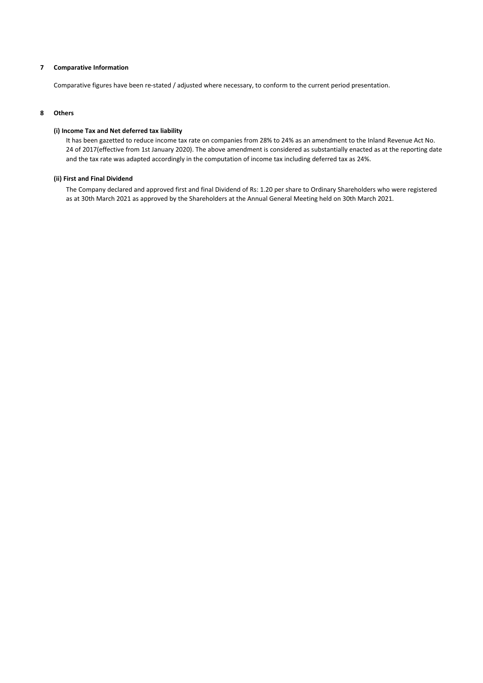## **7 Comparative Information**

Comparative figures have been re-stated / adjusted where necessary, to conform to the current period presentation.

## **8 Others**

## **(i) Income Tax and Net deferred tax liability**

It has been gazetted to reduce income tax rate on companies from 28% to 24% as an amendment to the Inland Revenue Act No. 24 of 2017(effective from 1st January 2020). The above amendment is considered as substantially enacted as at the reporting date and the tax rate was adapted accordingly in the computation of income tax including deferred tax as 24%.

### **(ii) First and Final Dividend**

The Company declared and approved first and final Dividend of Rs: 1.20 per share to Ordinary Shareholders who were registered as at 30th March 2021 as approved by the Shareholders at the Annual General Meeting held on 30th March 2021.